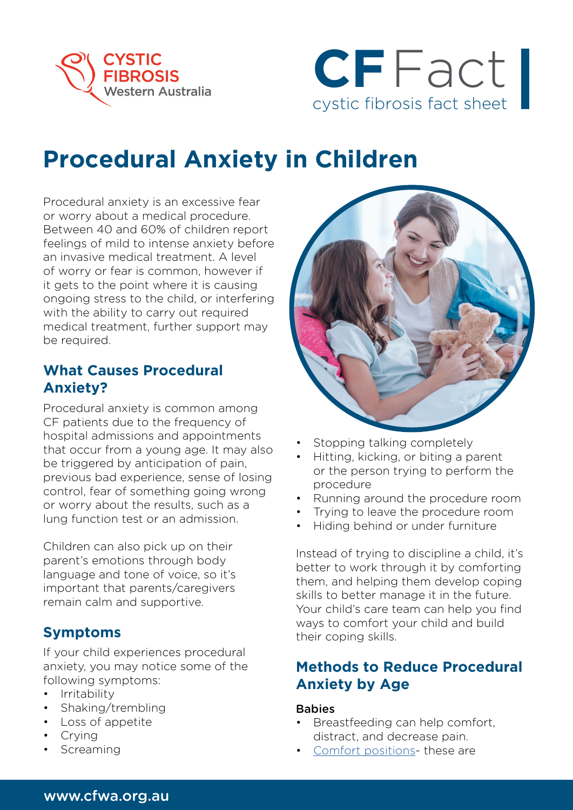



# **Procedural Anxiety in Children**

Procedural anxiety is an excessive fear or worry about a medical procedure. Between 40 and 60% of children report feelings of mild to intense anxiety before an invasive medical treatment. A level of worry or fear is common, however if it gets to the point where it is causing ongoing stress to the child, or interfering with the ability to carry out required medical treatment, further support may be required.

## **What Causes Procedural Anxiety?**

Procedural anxiety is common among CF patients due to the frequency of hospital admissions and appointments that occur from a young age. It may also be triggered by anticipation of pain, previous bad experience, sense of losing control, fear of something going wrong or worry about the results, such as a lung function test or an admission.

Children can also pick up on their parent's emotions through body language and tone of voice, so it's important that parents/caregivers remain calm and supportive.

## **Symptoms**

If your child experiences procedural anxiety, you may notice some of the following symptoms:

- Irritability
- Shaking/trembling
- Loss of appetite
- Crying
- **Screaming**



- Stopping talking completely
- Hitting, kicking, or biting a parent or the person trying to perform the procedure
- Running around the procedure room
- Trying to leave the procedure room
- Hiding behind or under furniture

Instead of trying to discipline a child, it's better to work through it by comforting them, and helping them develop coping skills to better manage it in the future. Your child's care team can help you find ways to comfort your child and build their coping skills.

## **Methods to Reduce Procedural Anxiety by Age**

#### **Babies**

- Breastfeeding can help comfort, distract, and decrease pain.
- [Comfort positions-](https://www.rch.org.au/uploadedFiles/Main/Content/comfortkids/ComfortKidsPositioningPoster.pdf) these are

#### www.cfwa.org.au